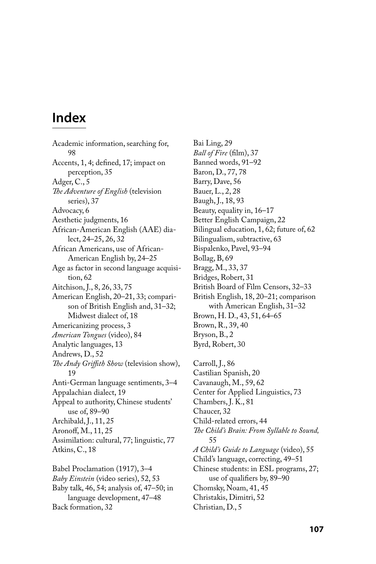## **Index**

Academic information, searching for, 98 Accents, 1, 4; defined, 17; impact on perception, 35 Adger, C., 5 The Adventure of English (television series), 37 Advocacy, 6 Aesthetic judgments, 16 African-American English (AAE) dialect, 24–25, 26, 32 African Americans, use of African-American English by, 24–25 Age as factor in second language acquisition, 62 Aitchison, J., 8, 26, 33, 75 American English, 20–21, 33; comparison of British English and, 31–32; Midwest dialect of, 18 Americanizing process, 3 *American Tongues* (video), 84 Analytic languages, 13 Andrews, D., 52 *The Andy Griffith Show* (television show), 19 Anti-German language sentiments, 3–4 Appalachian dialect, 19 Appeal to authority, Chinese students' use of, 89–90 Archibald, J., 11, 25 Aronoff, M., 11, 25 Assimilation: cultural, 77; linguistic, 77 Atkins, C., 18 Babel Proclamation (1917), 3–4

*Baby Einstein* (video series), 52, 53 Baby talk, 46, 54; analysis of, 47–50; in language development, 47–48 Back formation, 32

Bai Ling, 29 *Ball of Fire* (film), 37 Banned words, 91–92 Baron, D., 77, 78 Barry, Dave, 56 Bauer, L., 2, 28 Baugh, J., 18, 93 Beauty, equality in, 16–17 Better English Campaign, 22 Bilingual education, 1, 62; future of, 62 Bilingualism, subtractive, 63 Bispalenko, Pavel, 93–94 Bollag, B, 69 Bragg, M., 33, 37 Bridges, Robert, 31 British Board of Film Censors, 32–33 British English, 18, 20–21; comparison with American English, 31–32 Brown, H. D., 43, 51, 64–65 Brown, R., 39, 40 Bryson, B., 2 Byrd, Robert, 30

Carroll, J., 86 Castilian Spanish, 20 Cavanaugh, M., 59, 62 Center for Applied Linguistics, 73 Chambers, J. K., 81 Chaucer, 32 Child-related errors, 44 The Child's Brain: From Syllable to Sound, 55 *A Child's Guide to Language* (video), 55 Child's language, correcting, 49–51 Chinese students: in ESL programs, 27; use of qualifiers by, 89–90 Chomsky, Noam, 41, 45 Christakis, Dimitri, 52 Christian, D., 5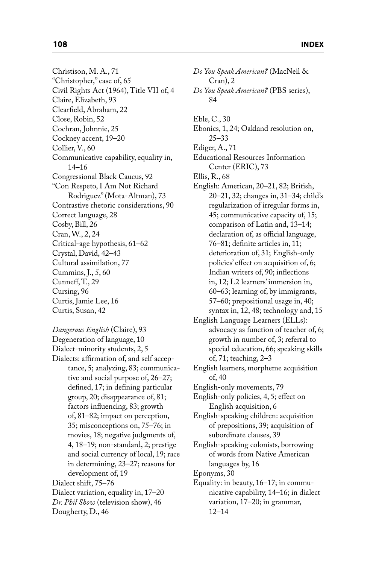Christison, M. A., 71 "Christopher," case of, 65 Civil Rights Act (1964), Title VII of, 4 Claire, Elizabeth, 93 Clearfield, Abraham, 22 Close, Robin, 52 Cochran, Johnnie, 25 Cockney accent, 19–20 Collier, V., 60 Communicative capability, equality in, 14–16 Congressional Black Caucus, 92 "Con Respeto, I Am Not Richard Rodriguez" (Mota-Altman), 73 Contrastive rhetoric considerations, 90 Correct language, 28 Cosby, Bill, 26 Cran, W., 2, 24 Critical-age hypothesis, 61–62 Crystal, David, 42–43 Cultural assimilation, 77 Cummins, J., 5, 60 Cunneff, T., 29 Cursing, 96 Curtis, Jamie Lee, 16 Curtis, Susan, 42

*Dangerous English* (Claire), 93 Degeneration of language, 10 Dialect-minority students, 2, 5 Dialects: affirmation of, and self acceptance, 5; analyzing, 83; communicative and social purpose of, 26–27; defined, 17; in defining particular group, 20; disappearance of, 81; factors influencing, 83; growth of, 81–82; impact on perception, 35; misconceptions on, 75–76; in movies, 18; negative judgments of, 4, 18–19; non-standard, 2; prestige and social currency of local, 19; race in determining, 23–27; reasons for development of, 19 Dialect shift, 75–76 Dialect variation, equality in, 17–20 *Dr. Phil Show* (television show), 46 Dougherty, D., 46

*Do You Speak American?* (MacNeil & Cran), 2 *Do You Speak American?* (PBS series), 84 Eble, C., 30 Ebonics, 1, 24; Oakland resolution on, 25–33 Ediger, A., 71 Educational Resources Information Center (ERIC), 73 Ellis, R., 68 English: American, 20–21, 82; British, 20–21, 32; changes in, 31–34; child's regularization of irregular forms in, 45; communicative capacity of, 15; comparison of Latin and, 13–14; declaration of, as official language, 76–81; definite articles in, 11; deterioration of, 31; English-only policies' effect on acquisition of, 6; Indian writers of, 90; inflections in, 12; L2 learners' immersion in, 60–63; learning of, by immigrants, 57–60; prepositional usage in, 40; syntax in, 12, 48; technology and, 15 English Language Learners (ELLs): advocacy as function of teacher of, 6; growth in number of, 3; referral to special education, 66; speaking skills of, 71; teaching, 2–3 English learners, morpheme acquisition of, 40 English-only movements, 79 English-only policies, 4, 5; effect on English acquisition, 6 English-speaking children: acquisition of prepositions, 39; acquisition of subordinate clauses, 39 English-speaking colonists, borrowing of words from Native American languages by, 16 Eponyms, 30 Equality: in beauty, 16–17; in communicative capability, 14–16; in dialect variation, 17–20; in grammar, 12–14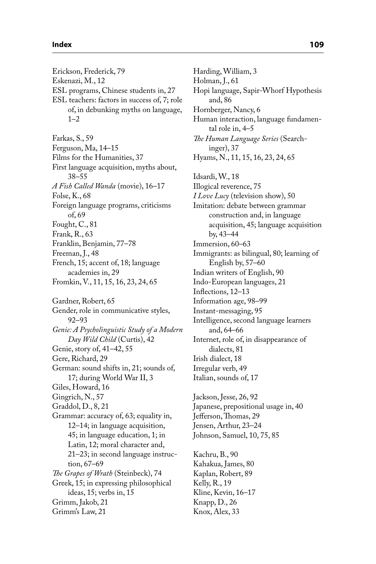Erickson, Frederick, 79 Eskenazi, M., 12 ESL programs, Chinese students in, 27 ESL teachers: factors in success of, 7; role of, in debunking myths on language,  $1 - 2$ Farkas, S., 59 Ferguson, Ma, 14–15 Films for the Humanities, 37 First language acquisition, myths about, 38–55 *A Fish Called Wanda* (movie), 16–17 Folse, K., 68 Foreign language programs, criticisms of, 69 Fought, C., 81 Frank, R., 63 Franklin, Benjamin, 77–78 Freeman, J., 48 French, 15; accent of, 18; language academies in, 29 Fromkin, V., 11, 15, 16, 23, 24, 65 Gardner, Robert, 65 Gender, role in communicative styles, 92–93 *Genie: A Psycholinguistic Study of a Modern Day Wild Child* (Curtis), 42 Genie, story of, 41–42, 55 Gere, Richard, 29 German: sound shifts in, 21; sounds of, 17; during World War II, 3 Giles, Howard, 16 Gingrich, N., 57 Graddol, D., 8, 21 Grammar: accuracy of, 63; equality in, 12–14; in language acquisition, 45; in language education, 1; in Latin, 12; moral character and, 21–23; in second language instruction, 67–69 *The Grapes of Wrath* (Steinbeck), 74 Greek, 15; in expressing philosophical ideas, 15; verbs in, 15 Grimm, Jakob, 21 Grimm's Law, 21

Harding, William, 3 Holman, J., 61 Hopi language, Sapir-Whorf Hypothesis and, 86 Hornberger, Nancy, 6 Human interaction, language fundamental role in, 4–5 *The Human Language Series* (Searchinger), 37 Hyams, N., 11, 15, 16, 23, 24, 65 Idsardi, W., 18 Illogical reverence, 75 *I Love Lucy* (television show), 50 Imitation: debate between grammar construction and, in language acquisition, 45; language acquisition by, 43–44 Immersion, 60–63 Immigrants: as bilingual, 80; learning of English by, 57–60 Indian writers of English, 90 Indo-European languages, 21 Inflections, 12-13 Information age, 98–99 Instant-messaging, 95 Intelligence, second language learners and, 64–66 Internet, role of, in disappearance of dialects, 81 Irish dialect, 18 Irregular verb, 49 Italian, sounds of, 17 Jackson, Jesse, 26, 92 Japanese, prepositional usage in, 40 Jefferson, Thomas, 29 Jensen, Arthur, 23–24

Kachru, B., 90 Kahakua, James, 80 Kaplan, Robert, 89 Kelly, R., 19 Kline, Kevin, 16–17 Knapp, D., 26 Knox, Alex, 33

Johnson, Samuel, 10, 75, 85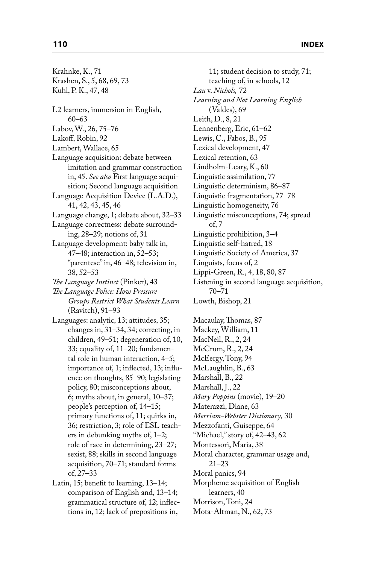| Krahnke, K., 71                         |
|-----------------------------------------|
| Krashen, S., 5, 68, 69, 73              |
| Kuhl, P. K., 47, 48                     |
|                                         |
| L2 learners, immersion in English,      |
| $60 - 63$                               |
| Labov, W., 26, 75-76                    |
| Lakoff, Robin, 92                       |
| Lambert, Wallace, 65                    |
| Language acquisition: debate between    |
| imitation and grammar construction      |
| in, 45. See also First language acqui-  |
| sition; Second language acquisition     |
| Language Acquisition Device (L.A.D.),   |
| 41, 42, 43, 45, 46                      |
| Language change, 1; debate about, 32-33 |
|                                         |
| Language correctness: debate surround-  |
| ing, 28-29; notions of, 31              |
| Language development: baby talk in,     |
| 47-48; interaction in, 52-53;           |
| "parentese" in, 46-48; television in,   |
| $38,52 - 53$                            |
| The Language Instinct (Pinker), 43      |
| The Language Police: How Pressure       |
| Groups Restrict What Students Learn     |
| (Ravitch), 91-93                        |
| Languages: analytic, 13; attitudes, 35; |
| changes in, 31-34, 34; correcting, in   |
| children, 49-51; degeneration of, 10,   |
| 33; equality of, 11-20; fundamen-       |
| tal role in human interaction, 4-5;     |
| importance of, 1; inflected, 13; influ- |
| ence on thoughts, 85-90; legislating    |
| policy, 80; misconceptions about,       |
| 6; myths about, in general, 10-37;      |
| people's perception of, 14-15;          |
| primary functions of, 11; quirks in,    |
| 36; restriction, 3; role of ESL teach-  |
| ers in debunking myths of, 1-2;         |
| role of race in determining, 23-27;     |
| sexist, 88; skills in second language   |
| acquisition, 70-71; standard forms      |
| of, 27-33                               |
| Latin, 15; benefit to learning, 13-14;  |
| comparison of English and, 13-14;       |

comparison of English and, 13–14; grammatical structure of, 12; inflections in, 12; lack of prepositions in,

11; student decision to study, 71; teaching of, in schools, 12 *Lau* v. *Nichols,* 72 *Learning and Not Learning English* (Valdes), 69 Leith, D., 8, 21 Lennenberg, Eric, 61–62 Lewis, C., Fabos, B., 95 Lexical development, 47 Lexical retention, 63 Lindholm-Leary, K., 60 Linguistic assimilation, 77 Linguistic determinism, 86–87 Linguistic fragmentation, 77–78 Linguistic homogeneity, 76 Linguistic misconceptions, 74; spread of, 7 Linguistic prohibition, 3–4 Linguistic self-hatred, 18 Linguistic Society of America, 37 Linguists, focus of, 2 Lippi-Green, R., 4, 18, 80, 87 Listening in second language acquisition, 70–71 Lowth, Bishop, 21 Macaulay, Thomas, 87 Mackey, William, 11 MacNeil, R., 2, 24 McCrum, R., 2, 24 McEergy, Tony, 94 McLaughlin, B., 63 Marshall, B., 22 Marshall, J., 22 *Mary Poppins* (movie), 19–20 Materazzi, Diane, 63 *Merriam-Webster Dictionary,* 30 Mezzofanti, Guiseppe, 64 "Michael," story of, 42–43, 62 Montessori, Maria, 38 Moral character, grammar usage and, 21–23 Moral panics, 94 Morpheme acquisition of English learners, 40 Morrison, Toni, 24 Mota-Altman, N., 62, 73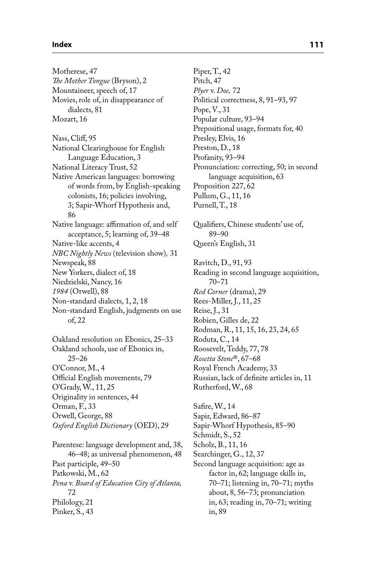## **Index 111**

Motherese, 47 *The Mother Tongue* (Bryson), 2 Mountaineer, speech of, 17 Movies, role of, in disappearance of dialects, 81 Mozart, 16 Nass, Cliff, 95 National Clearinghouse for English Language Education, 3 National Literacy Trust, 52 Native American languages: borrowing of words from, by English-speaking colonists, 16; policies involving, 3; Sapir-Whorf Hypothesis and, 86 Native language: affirmation of, and self acceptance, 5; learning of, 39–48 Native-like accents, 4 *NBC Nightly News* (television show)*,* 31 Newspeak, 88 New Yorkers, dialect of, 18 Niedzielski, Nancy, 16 *1984* (Orwell), 88 Non-standard dialects, 1, 2, 18 Non-standard English, judgments on use of, 22 Oakland resolution on Ebonics, 25–33 Oakland schools, use of Ebonics in, 25–26 O'Connor, M., 4 Official English movements, 79 O'Grady, W., 11, 25 Originality in sentences, 44 Orman, F., 33 Orwell, George, 88 *Oxford English Dictionary* (OED), 29 Parentese: language development and, 38, 46–48; as universal phenomenon, 48 Past participle, 49–50 Patkowski, M., 62 *Pena* v. *Board of Education City of Atlanta,* 72 Philology, 21 Pinker, S., 43

Piper, T., 42 Pitch, 47 *Plyer* v. *Doe,* 72 Political correctness, 8, 91–93, 97 Pope, V., 31 Popular culture, 93–94 Prepositional usage, formats for, 40 Presley, Elvis, 16 Preston, D., 18 Profanity, 93–94 Pronunciation: correcting, 50; in second language acquisition, 63 Proposition 227, 62 Pullum, G., 11, 16 Purnell, T., 18 Qualifiers, Chinese students' use of, 89–90 Queen's English, 31 Ravitch, D., 91, 93 Reading in second language acquisition, 70–71 *Red Corner* (drama), 29 Rees-Miller, J., 11, 25 Reise, J., 31 Robien, Gilles de, 22 Rodman, R., 11, 15, 16, 23, 24, 65 Roduta, C., 14 Roosevelt, Teddy, 77, 78 *Rosetta Stone*®, 67–68 Royal French Academy, 33 Russian, lack of definite articles in, 11 Rutherford, W., 68 Safire, W., 14

Sapir, Edward, 86–87 Sapir-Whorf Hypothesis, 85–90 Schmidt, S., 52 Scholz, B., 11, 16 Searchinger, G., 12, 37 Second language acquisition: age as factor in, 62; language skills in, 70–71; listening in, 70–71; myths about, 8, 56–73; pronunciation in, 63; reading in, 70–71; writing in, 89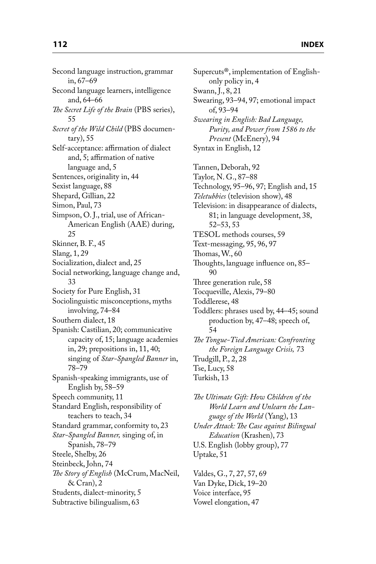Second language instruction, grammar in, 67–69 Second language learners, intelligence and, 64–66 *The Secret Life of the Brain* (PBS series), 55 *Secret of the Wild Child* (PBS documentary), 55 Self-acceptance: affirmation of dialect and, 5; affirmation of native language and, 5 Sentences, originality in, 44 Sexist language, 88 Shepard, Gillian, 22 Simon, Paul, 73 Simpson, O. J., trial, use of African-American English (AAE) during, 25 Skinner, B. F., 45 Slang, 1, 29 Socialization, dialect and, 25 Social networking, language change and, 33 Society for Pure English, 31 Sociolinguistic misconceptions, myths involving, 74–84 Southern dialect, 18 Spanish: Castilian, 20; communicative capacity of, 15; language academies in, 29; prepositions in, 11, 40; singing of *Star-Spangled Banner* in, 78–79 Spanish-speaking immigrants, use of English by, 58–59 Speech community, 11 Standard English, responsibility of teachers to teach, 34 Standard grammar, conformity to, 23 *Star-Spangled Banner,* singing of, in Spanish, 78–79 Steele, Shelby, 26 Steinbeck, John, 74 *The Story of English* (McCrum, MacNeil, & Cran), 2 Students, dialect-minority, 5 Subtractive bilingualism, 63

Supercuts®, implementation of Englishonly policy in, 4 Swann, J., 8, 21 Swearing, 93–94, 97; emotional impact of, 93–94 *Swearing in English: Bad Language, Purity, and Power from 1586 to the Present* (McEnery), 94 Syntax in English, 12 Tannen, Deborah, 92 Taylor, N. G., 87–88 Technology, 95–96, 97; English and, 15 *Teletubbies* (television show), 48 Television: in disappearance of dialects, 81; in language development, 38, 52–53, 53 TESOL methods courses, 59 Text-messaging, 95, 96, 97 Thomas,  $W<sub>1</sub>$ , 60 Thoughts, language influence on, 85-90 Three generation rule, 58 Tocqueville, Alexis, 79–80 Toddlerese, 48 Toddlers: phrases used by, 44–45; sound production by, 47–48; speech of, 54 **The Tongue-Tied American: Confronting** *the Foreign Language Crisis,* 73 Trudgill, P., 2, 28 Tse, Lucy, 58 Turkish, 13

**The Ultimate Gift: How Children of the** *World Learn and Unlearn the Language of the World* (Yang), 13 *Under Attack: The Case against Bilingual Education* (Krashen), 73 U.S. English (lobby group), 77 Uptake, 51

Valdes, G., 7, 27, 57, 69 Van Dyke, Dick, 19–20 Voice interface, 95 Vowel elongation, 47